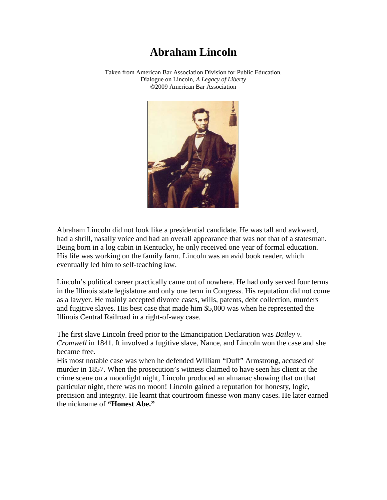## **Abraham Lincoln**

Taken from American Bar Association Division for Public Education. Dialogue on Lincoln, *A Legacy of Liberty* ©2009 American Bar Association



Abraham Lincoln did not look like a presidential candidate. He was tall and awkward, had a shrill, nasally voice and had an overall appearance that was not that of a statesman. Being born in a log cabin in Kentucky, he only received one year of formal education. His life was working on the family farm. Lincoln was an avid book reader, which eventually led him to self-teaching law.

Lincoln's political career practically came out of nowhere. He had only served four terms in the Illinois state legislature and only one term in Congress. His reputation did not come as a lawyer. He mainly accepted divorce cases, wills, patents, debt collection, murders and fugitive slaves. His best case that made him \$5,000 was when he represented the Illinois Central Railroad in a right-of-way case.

The first slave Lincoln freed prior to the Emancipation Declaration was *Bailey v. Cromwell* in 1841. It involved a fugitive slave, Nance, and Lincoln won the case and she became free.

His most notable case was when he defended William "Duff" Armstrong, accused of murder in 1857. When the prosecution's witness claimed to have seen his client at the crime scene on a moonlight night, Lincoln produced an almanac showing that on that particular night, there was no moon! Lincoln gained a reputation for honesty, logic, precision and integrity. He learnt that courtroom finesse won many cases. He later earned the nickname of **"Honest Abe."**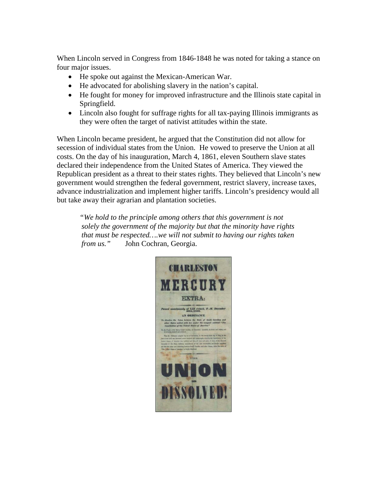When Lincoln served in Congress from 1846-1848 he was noted for taking a stance on four major issues.

- He spoke out against the Mexican-American War.
- He advocated for abolishing slavery in the nation's capital.
- He fought for money for improved infrastructure and the Illinois state capital in Springfield.
- Lincoln also fought for suffrage rights for all tax-paying Illinois immigrants as they were often the target of nativist attitudes within the state.

When Lincoln became president, he argued that the Constitution did not allow for secession of individual states from the Union. He vowed to preserve the Union at all costs. On the day of his inauguration, March 4, 1861, eleven Southern slave states declared their independence from the United States of America. They viewed the Republican president as a threat to their states rights. They believed that Lincoln's new government would strengthen the federal government, restrict slavery, increase taxes, advance industrialization and implement higher tariffs. Lincoln's presidency would all but take away their agrarian and plantation societies.

*"We hold to the principle among others that this government is not solely the government of the majority but that the minority have rights that must be respected….we will not submit to having our rights taken from us."* John Cochran, Georgia.

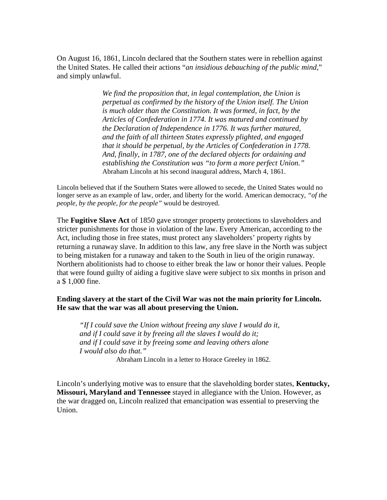On August 16, 1861, Lincoln declared that the Southern states were in rebellion against the United States. He called their actions "*an insidious debauching of the public mind*," and simply unlawful.

> *We find the proposition that, in legal contemplation, the Union is perpetual as confirmed by the history of the Union itself. The Union is much older than the Constitution. It was formed, in fact, by the Articles of Confederation in 1774. It was matured and continued by the Declaration of Independence in 1776. It was further matured, and the faith of all thirteen States expressly plighted, and engaged that it should be perpetual, by the Articles of Confederation in 1778. And, finally, in 1787, one of the declared objects for ordaining and establishing the Constitution was "to form a more perfect Union."* Abraham Lincoln at his second inaugural address, March 4, 1861.

Lincoln believed that if the Southern States were allowed to secede, the United States would no longer serve as an example of law, order, and liberty for the world. American democracy, *"of the people, by the people, for the people"* would be destroyed.

The **Fugitive Slave Act** of 1850 gave stronger property protections to slaveholders and stricter punishments for those in violation of the law. Every American, according to the Act, including those in free states, must protect any slaveholders' property rights by returning a runaway slave. In addition to this law, any free slave in the North was subject to being mistaken for a runaway and taken to the South in lieu of the origin runaway. Northern abolitionists had to choose to either break the law or honor their values. People that were found guilty of aiding a fugitive slave were subject to six months in prison and a \$ 1,000 fine.

## **Ending slavery at the start of the Civil War was not the main priority for Lincoln. He saw that the war was all about preserving the Union.**

*"If I could save the Union without freeing any slave I would do it, and if I could save it by freeing all the slaves I would do it; and if I could save it by freeing some and leaving others alone I would also do that."*

Abraham Lincoln in a letter to Horace Greeley in 1862.

Lincoln's underlying motive was to ensure that the slaveholding border states, **Kentucky, Missouri, Maryland and Tennessee** stayed in allegiance with the Union. However, as the war dragged on, Lincoln realized that emancipation was essential to preserving the Union.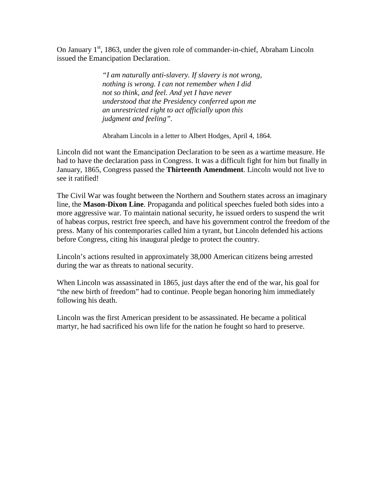On January  $1<sup>st</sup>$ , 1863, under the given role of commander-in-chief, Abraham Lincoln issued the Emancipation Declaration.

> *"I am naturally anti-slavery. If slavery is not wrong, nothing is wrong. I can not remember when I did not so think, and feel. And yet I have never understood that the Presidency conferred upon me an unrestricted right to act officially upon this judgment and feeling".*

Abraham Lincoln in a letter to Albert Hodges, April 4, 1864.

Lincoln did not want the Emancipation Declaration to be seen as a wartime measure. He had to have the declaration pass in Congress. It was a difficult fight for him but finally in January, 1865, Congress passed the **Thirteenth Amendment**. Lincoln would not live to see it ratified!

The Civil War was fought between the Northern and Southern states across an imaginary line, the **Mason-Dixon Line**. Propaganda and political speeches fueled both sides into a more aggressive war. To maintain national security, he issued orders to suspend the writ of habeas corpus, restrict free speech, and have his government control the freedom of the press. Many of his contemporaries called him a tyrant, but Lincoln defended his actions before Congress, citing his inaugural pledge to protect the country.

Lincoln's actions resulted in approximately 38,000 American citizens being arrested during the war as threats to national security.

When Lincoln was assassinated in 1865, just days after the end of the war, his goal for "the new birth of freedom" had to continue. People began honoring him immediately following his death.

Lincoln was the first American president to be assassinated. He became a political martyr, he had sacrificed his own life for the nation he fought so hard to preserve.